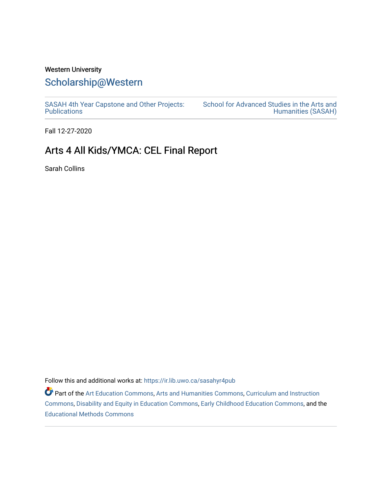### Western University

## [Scholarship@Western](https://ir.lib.uwo.ca/)

[SASAH 4th Year Capstone and Other Projects:](https://ir.lib.uwo.ca/sasahyr4pub)  **Publications** 

[School for Advanced Studies in the Arts and](https://ir.lib.uwo.ca/sasah)  [Humanities \(SASAH\)](https://ir.lib.uwo.ca/sasah) 

Fall 12-27-2020

# Arts 4 All Kids/YMCA: CEL Final Report

Sarah Collins

Follow this and additional works at: [https://ir.lib.uwo.ca/sasahyr4pub](https://ir.lib.uwo.ca/sasahyr4pub?utm_source=ir.lib.uwo.ca%2Fsasahyr4pub%2F29&utm_medium=PDF&utm_campaign=PDFCoverPages) 

Part of the [Art Education Commons](http://network.bepress.com/hgg/discipline/1149?utm_source=ir.lib.uwo.ca%2Fsasahyr4pub%2F29&utm_medium=PDF&utm_campaign=PDFCoverPages), [Arts and Humanities Commons](http://network.bepress.com/hgg/discipline/438?utm_source=ir.lib.uwo.ca%2Fsasahyr4pub%2F29&utm_medium=PDF&utm_campaign=PDFCoverPages), [Curriculum and Instruction](http://network.bepress.com/hgg/discipline/786?utm_source=ir.lib.uwo.ca%2Fsasahyr4pub%2F29&utm_medium=PDF&utm_campaign=PDFCoverPages)  [Commons](http://network.bepress.com/hgg/discipline/786?utm_source=ir.lib.uwo.ca%2Fsasahyr4pub%2F29&utm_medium=PDF&utm_campaign=PDFCoverPages), [Disability and Equity in Education Commons,](http://network.bepress.com/hgg/discipline/1040?utm_source=ir.lib.uwo.ca%2Fsasahyr4pub%2F29&utm_medium=PDF&utm_campaign=PDFCoverPages) [Early Childhood Education Commons,](http://network.bepress.com/hgg/discipline/1377?utm_source=ir.lib.uwo.ca%2Fsasahyr4pub%2F29&utm_medium=PDF&utm_campaign=PDFCoverPages) and the [Educational Methods Commons](http://network.bepress.com/hgg/discipline/1227?utm_source=ir.lib.uwo.ca%2Fsasahyr4pub%2F29&utm_medium=PDF&utm_campaign=PDFCoverPages)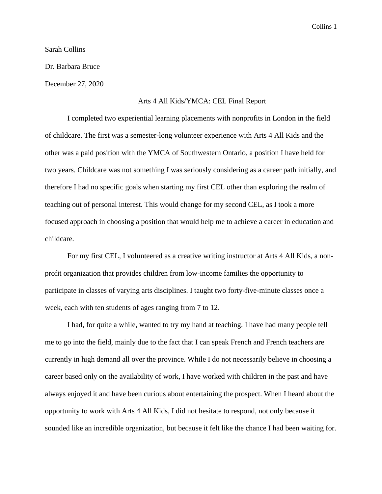### Sarah Collins

Dr. Barbara Bruce

December 27, 2020

#### Arts 4 All Kids/YMCA: CEL Final Report

I completed two experiential learning placements with nonprofits in London in the field of childcare. The first was a semester-long volunteer experience with Arts 4 All Kids and the other was a paid position with the YMCA of Southwestern Ontario, a position I have held for two years. Childcare was not something I was seriously considering as a career path initially, and therefore I had no specific goals when starting my first CEL other than exploring the realm of teaching out of personal interest. This would change for my second CEL, as I took a more focused approach in choosing a position that would help me to achieve a career in education and childcare.

For my first CEL, I volunteered as a creative writing instructor at Arts 4 All Kids, a nonprofit organization that provides children from low-income families the opportunity to participate in classes of varying arts disciplines. I taught two forty-five-minute classes once a week, each with ten students of ages ranging from 7 to 12.

I had, for quite a while, wanted to try my hand at teaching. I have had many people tell me to go into the field, mainly due to the fact that I can speak French and French teachers are currently in high demand all over the province. While I do not necessarily believe in choosing a career based only on the availability of work, I have worked with children in the past and have always enjoyed it and have been curious about entertaining the prospect. When I heard about the opportunity to work with Arts 4 All Kids, I did not hesitate to respond, not only because it sounded like an incredible organization, but because it felt like the chance I had been waiting for.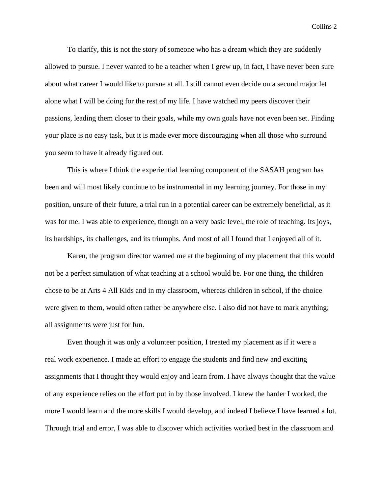To clarify, this is not the story of someone who has a dream which they are suddenly allowed to pursue. I never wanted to be a teacher when I grew up, in fact, I have never been sure about what career I would like to pursue at all. I still cannot even decide on a second major let alone what I will be doing for the rest of my life. I have watched my peers discover their passions, leading them closer to their goals, while my own goals have not even been set. Finding your place is no easy task, but it is made ever more discouraging when all those who surround you seem to have it already figured out.

This is where I think the experiential learning component of the SASAH program has been and will most likely continue to be instrumental in my learning journey. For those in my position, unsure of their future, a trial run in a potential career can be extremely beneficial, as it was for me. I was able to experience, though on a very basic level, the role of teaching. Its joys, its hardships, its challenges, and its triumphs. And most of all I found that I enjoyed all of it.

Karen, the program director warned me at the beginning of my placement that this would not be a perfect simulation of what teaching at a school would be. For one thing, the children chose to be at Arts 4 All Kids and in my classroom, whereas children in school, if the choice were given to them, would often rather be anywhere else. I also did not have to mark anything; all assignments were just for fun.

Even though it was only a volunteer position, I treated my placement as if it were a real work experience. I made an effort to engage the students and find new and exciting assignments that I thought they would enjoy and learn from. I have always thought that the value of any experience relies on the effort put in by those involved. I knew the harder I worked, the more I would learn and the more skills I would develop, and indeed I believe I have learned a lot. Through trial and error, I was able to discover which activities worked best in the classroom and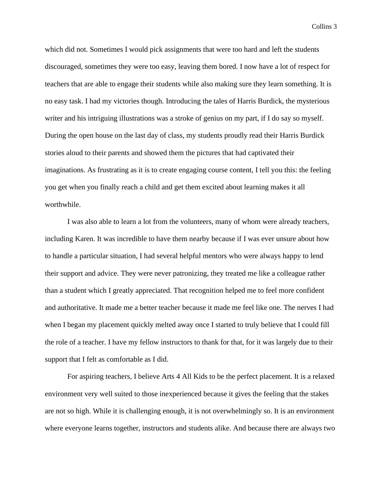which did not. Sometimes I would pick assignments that were too hard and left the students discouraged, sometimes they were too easy, leaving them bored. I now have a lot of respect for teachers that are able to engage their students while also making sure they learn something. It is no easy task. I had my victories though. Introducing the tales of Harris Burdick, the mysterious writer and his intriguing illustrations was a stroke of genius on my part, if I do say so myself. During the open house on the last day of class, my students proudly read their Harris Burdick stories aloud to their parents and showed them the pictures that had captivated their imaginations. As frustrating as it is to create engaging course content, I tell you this: the feeling you get when you finally reach a child and get them excited about learning makes it all worthwhile.

I was also able to learn a lot from the volunteers, many of whom were already teachers, including Karen. It was incredible to have them nearby because if I was ever unsure about how to handle a particular situation, I had several helpful mentors who were always happy to lend their support and advice. They were never patronizing, they treated me like a colleague rather than a student which I greatly appreciated. That recognition helped me to feel more confident and authoritative. It made me a better teacher because it made me feel like one. The nerves I had when I began my placement quickly melted away once I started to truly believe that I could fill the role of a teacher. I have my fellow instructors to thank for that, for it was largely due to their support that I felt as comfortable as I did.

For aspiring teachers, I believe Arts 4 All Kids to be the perfect placement. It is a relaxed environment very well suited to those inexperienced because it gives the feeling that the stakes are not so high. While it is challenging enough, it is not overwhelmingly so. It is an environment where everyone learns together, instructors and students alike. And because there are always two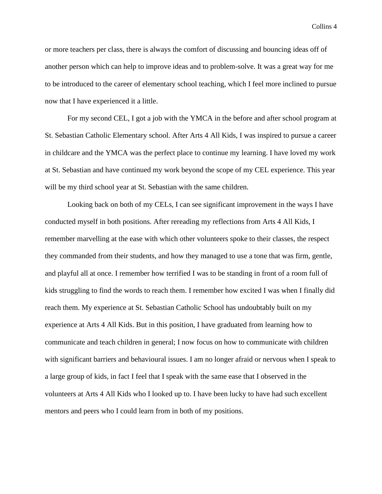or more teachers per class, there is always the comfort of discussing and bouncing ideas off of another person which can help to improve ideas and to problem-solve. It was a great way for me to be introduced to the career of elementary school teaching, which I feel more inclined to pursue now that I have experienced it a little.

For my second CEL, I got a job with the YMCA in the before and after school program at St. Sebastian Catholic Elementary school. After Arts 4 All Kids, I was inspired to pursue a career in childcare and the YMCA was the perfect place to continue my learning. I have loved my work at St. Sebastian and have continued my work beyond the scope of my CEL experience. This year will be my third school year at St. Sebastian with the same children.

Looking back on both of my CELs, I can see significant improvement in the ways I have conducted myself in both positions. After rereading my reflections from Arts 4 All Kids, I remember marvelling at the ease with which other volunteers spoke to their classes, the respect they commanded from their students, and how they managed to use a tone that was firm, gentle, and playful all at once. I remember how terrified I was to be standing in front of a room full of kids struggling to find the words to reach them. I remember how excited I was when I finally did reach them. My experience at St. Sebastian Catholic School has undoubtably built on my experience at Arts 4 All Kids. But in this position, I have graduated from learning how to communicate and teach children in general; I now focus on how to communicate with children with significant barriers and behavioural issues. I am no longer afraid or nervous when I speak to a large group of kids, in fact I feel that I speak with the same ease that I observed in the volunteers at Arts 4 All Kids who I looked up to. I have been lucky to have had such excellent mentors and peers who I could learn from in both of my positions.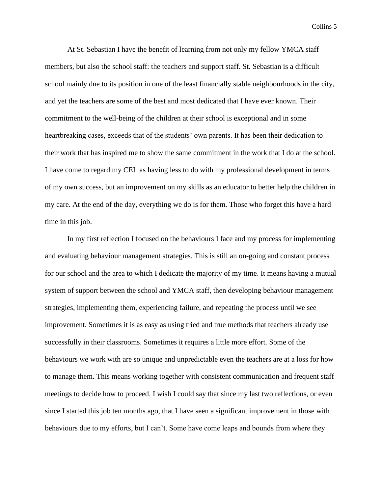At St. Sebastian I have the benefit of learning from not only my fellow YMCA staff members, but also the school staff: the teachers and support staff. St. Sebastian is a difficult school mainly due to its position in one of the least financially stable neighbourhoods in the city, and yet the teachers are some of the best and most dedicated that I have ever known. Their commitment to the well-being of the children at their school is exceptional and in some heartbreaking cases, exceeds that of the students' own parents. It has been their dedication to their work that has inspired me to show the same commitment in the work that I do at the school. I have come to regard my CEL as having less to do with my professional development in terms of my own success, but an improvement on my skills as an educator to better help the children in my care. At the end of the day, everything we do is for them. Those who forget this have a hard time in this job.

In my first reflection I focused on the behaviours I face and my process for implementing and evaluating behaviour management strategies. This is still an on-going and constant process for our school and the area to which I dedicate the majority of my time. It means having a mutual system of support between the school and YMCA staff, then developing behaviour management strategies, implementing them, experiencing failure, and repeating the process until we see improvement. Sometimes it is as easy as using tried and true methods that teachers already use successfully in their classrooms. Sometimes it requires a little more effort. Some of the behaviours we work with are so unique and unpredictable even the teachers are at a loss for how to manage them. This means working together with consistent communication and frequent staff meetings to decide how to proceed. I wish I could say that since my last two reflections, or even since I started this job ten months ago, that I have seen a significant improvement in those with behaviours due to my efforts, but I can't. Some have come leaps and bounds from where they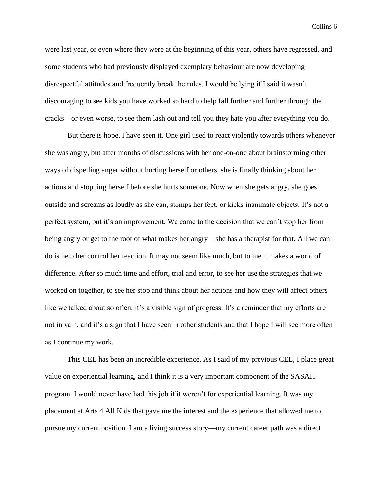were last year, or even where they were at the beginning of this year, others have regressed, and some students who had previously displayed exemplary behaviour are now developing disrespectful attitudes and frequently break the rules. I would be lying if I said it wasn't discouraging to see kids you have worked so hard to help fall further and further through the cracks—or even worse, to see them lash out and tell you they hate you after everything you do.

But there is hope. I have seen it. One girl used to react violently towards others whenever she was angry, but after months of discussions with her one-on-one about brainstorming other ways of dispelling anger without hurting herself or others, she is finally thinking about her actions and stopping herself before she hurts someone. Now when she gets angry, she goes outside and screams as loudly as she can, stomps her feet, or kicks inanimate objects. It's not a perfect system, but it's an improvement. We came to the decision that we can't stop her from being angry or get to the root of what makes her angry—she has a therapist for that. All we can do is help her control her reaction. It may not seem like much, but to me it makes a world of difference. After so much time and effort, trial and error, to see her use the strategies that we worked on together, to see her stop and think about her actions and how they will affect others like we talked about so often, it's a visible sign of progress. It's a reminder that my efforts are not in vain, and it's a sign that I have seen in other students and that I hope I will see more often as I continue my work.

This CEL has been an incredible experience. As I said of my previous CEL, I place great value on experiential learning, and I think it is a very important component of the SASAH program. I would never have had this job if it weren't for experiential learning. It was my placement at Arts 4 All Kids that gave me the interest and the experience that allowed me to pursue my current position. I am a living success story—my current career path was a direct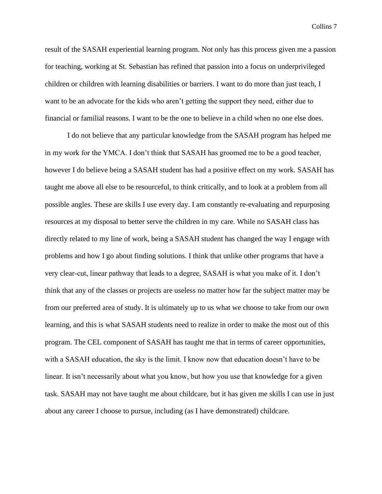result of the SASAH experiential learning program. Not only has this process given me a passion for teaching, working at St. Sebastian has refined that passion into a focus on underprivileged children or children with learning disabilities or barriers. I want to do more than just teach, I want to be an advocate for the kids who aren't getting the support they need, either due to financial or familial reasons. I want to be the one to believe in a child when no one else does.

I do not believe that any particular knowledge from the SASAH program has helped me in my work for the YMCA. I don't think that SASAH has groomed me to be a good teacher, however I do believe being a SASAH student has had a positive effect on my work. SASAH has taught me above all else to be resourceful, to think critically, and to look at a problem from all possible angles. These are skills I use every day. I am constantly re-evaluating and repurposing resources at my disposal to better serve the children in my care. While no SASAH class has directly related to my line of work, being a SASAH student has changed the way I engage with problems and how I go about finding solutions. I think that unlike other programs that have a very clear-cut, linear pathway that leads to a degree, SASAH is what you make of it. I don't think that any of the classes or projects are useless no matter how far the subject matter may be from our preferred area of study. It is ultimately up to us what we choose to take from our own learning, and this is what SASAH students need to realize in order to make the most out of this program. The CEL component of SASAH has taught me that in terms of career opportunities, with a SASAH education, the sky is the limit. I know now that education doesn't have to be linear. It isn't necessarily about what you know, but how you use that knowledge for a given task. SASAH may not have taught me about childcare, but it has given me skills I can use in just about any career I choose to pursue, including (as I have demonstrated) childcare.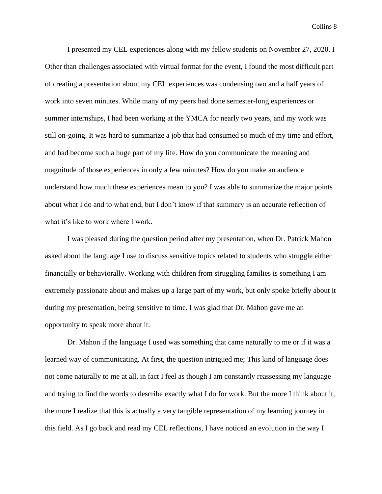I presented my CEL experiences along with my fellow students on November 27, 2020. I Other than challenges associated with virtual format for the event, I found the most difficult part of creating a presentation about my CEL experiences was condensing two and a half years of work into seven minutes. While many of my peers had done semester-long experiences or summer internships, I had been working at the YMCA for nearly two years, and my work was still on-going. It was hard to summarize a job that had consumed so much of my time and effort, and had become such a huge part of my life. How do you communicate the meaning and magnitude of those experiences in only a few minutes? How do you make an audience understand how much these experiences mean to you? I was able to summarize the major points about what I do and to what end, but I don't know if that summary is an accurate reflection of what it's like to work where I work.

I was pleased during the question period after my presentation, when Dr. Patrick Mahon asked about the language I use to discuss sensitive topics related to students who struggle either financially or behaviorally. Working with children from struggling families is something I am extremely passionate about and makes up a large part of my work, but only spoke briefly about it during my presentation, being sensitive to time. I was glad that Dr. Mahon gave me an opportunity to speak more about it.

Dr. Mahon if the language I used was something that came naturally to me or if it was a learned way of communicating. At first, the question intrigued me; This kind of language does not come naturally to me at all, in fact I feel as though I am constantly reassessing my language and trying to find the words to describe exactly what I do for work. But the more I think about it, the more I realize that this is actually a very tangible representation of my learning journey in this field. As I go back and read my CEL reflections, I have noticed an evolution in the way I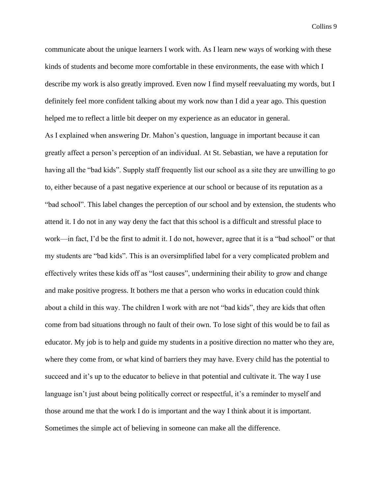communicate about the unique learners I work with. As I learn new ways of working with these kinds of students and become more comfortable in these environments, the ease with which I describe my work is also greatly improved. Even now I find myself reevaluating my words, but I definitely feel more confident talking about my work now than I did a year ago. This question helped me to reflect a little bit deeper on my experience as an educator in general. As I explained when answering Dr. Mahon's question, language in important because it can greatly affect a person's perception of an individual. At St. Sebastian, we have a reputation for having all the "bad kids". Supply staff frequently list our school as a site they are unwilling to go to, either because of a past negative experience at our school or because of its reputation as a "bad school". This label changes the perception of our school and by extension, the students who attend it. I do not in any way deny the fact that this school is a difficult and stressful place to work—in fact, I'd be the first to admit it. I do not, however, agree that it is a "bad school" or that my students are "bad kids". This is an oversimplified label for a very complicated problem and effectively writes these kids off as "lost causes", undermining their ability to grow and change and make positive progress. It bothers me that a person who works in education could think about a child in this way. The children I work with are not "bad kids", they are kids that often come from bad situations through no fault of their own. To lose sight of this would be to fail as educator. My job is to help and guide my students in a positive direction no matter who they are, where they come from, or what kind of barriers they may have. Every child has the potential to succeed and it's up to the educator to believe in that potential and cultivate it. The way I use language isn't just about being politically correct or respectful, it's a reminder to myself and those around me that the work I do is important and the way I think about it is important. Sometimes the simple act of believing in someone can make all the difference.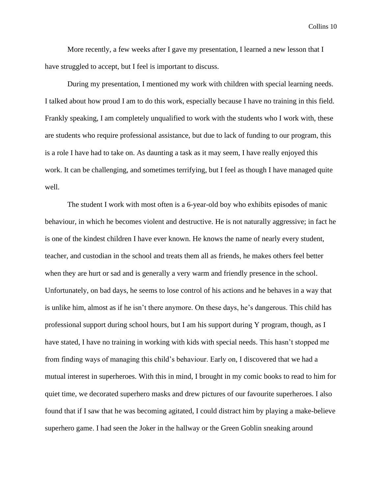More recently, a few weeks after I gave my presentation, I learned a new lesson that I have struggled to accept, but I feel is important to discuss.

During my presentation, I mentioned my work with children with special learning needs. I talked about how proud I am to do this work, especially because I have no training in this field. Frankly speaking, I am completely unqualified to work with the students who I work with, these are students who require professional assistance, but due to lack of funding to our program, this is a role I have had to take on. As daunting a task as it may seem, I have really enjoyed this work. It can be challenging, and sometimes terrifying, but I feel as though I have managed quite well.

The student I work with most often is a 6-year-old boy who exhibits episodes of manic behaviour, in which he becomes violent and destructive. He is not naturally aggressive; in fact he is one of the kindest children I have ever known. He knows the name of nearly every student, teacher, and custodian in the school and treats them all as friends, he makes others feel better when they are hurt or sad and is generally a very warm and friendly presence in the school. Unfortunately, on bad days, he seems to lose control of his actions and he behaves in a way that is unlike him, almost as if he isn't there anymore. On these days, he's dangerous. This child has professional support during school hours, but I am his support during Y program, though, as I have stated, I have no training in working with kids with special needs. This hasn't stopped me from finding ways of managing this child's behaviour. Early on, I discovered that we had a mutual interest in superheroes. With this in mind, I brought in my comic books to read to him for quiet time, we decorated superhero masks and drew pictures of our favourite superheroes. I also found that if I saw that he was becoming agitated, I could distract him by playing a make-believe superhero game. I had seen the Joker in the hallway or the Green Goblin sneaking around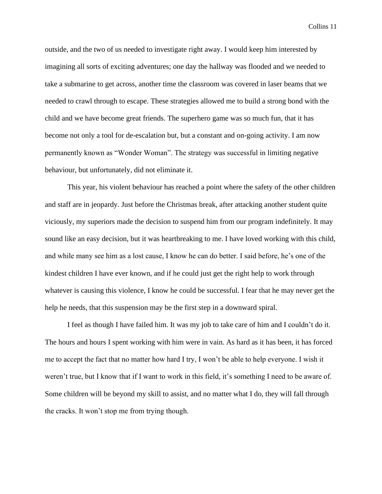outside, and the two of us needed to investigate right away. I would keep him interested by imagining all sorts of exciting adventures; one day the hallway was flooded and we needed to take a submarine to get across, another time the classroom was covered in laser beams that we needed to crawl through to escape. These strategies allowed me to build a strong bond with the child and we have become great friends. The superhero game was so much fun, that it has become not only a tool for de-escalation but, but a constant and on-going activity. I am now permanently known as "Wonder Woman". The strategy was successful in limiting negative behaviour, but unfortunately, did not eliminate it.

This year, his violent behaviour has reached a point where the safety of the other children and staff are in jeopardy. Just before the Christmas break, after attacking another student quite viciously, my superiors made the decision to suspend him from our program indefinitely. It may sound like an easy decision, but it was heartbreaking to me. I have loved working with this child, and while many see him as a lost cause, I know he can do better. I said before, he's one of the kindest children I have ever known, and if he could just get the right help to work through whatever is causing this violence, I know he could be successful. I fear that he may never get the help he needs, that this suspension may be the first step in a downward spiral.

I feel as though I have failed him. It was my job to take care of him and I couldn't do it. The hours and hours I spent working with him were in vain. As hard as it has been, it has forced me to accept the fact that no matter how hard I try, I won't be able to help everyone. I wish it weren't true, but I know that if I want to work in this field, it's something I need to be aware of. Some children will be beyond my skill to assist, and no matter what I do, they will fall through the cracks. It won't stop me from trying though.